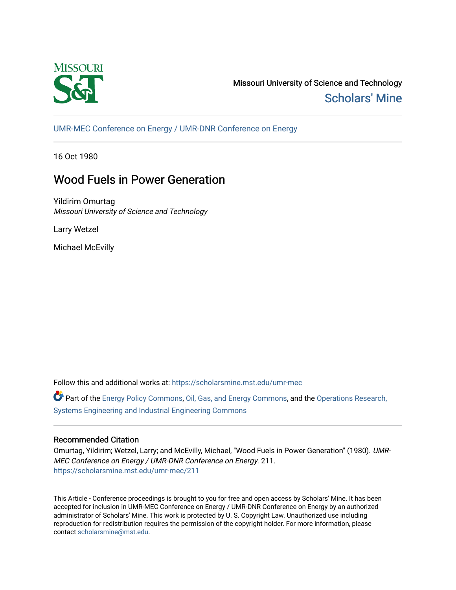

Missouri University of Science and Technology [Scholars' Mine](https://scholarsmine.mst.edu/) 

[UMR-MEC Conference on Energy / UMR-DNR Conference on Energy](https://scholarsmine.mst.edu/umr-mec)

16 Oct 1980

# Wood Fuels in Power Generation

Yildirim Omurtag Missouri University of Science and Technology

Larry Wetzel

Michael McEvilly

Follow this and additional works at: [https://scholarsmine.mst.edu/umr-mec](https://scholarsmine.mst.edu/umr-mec?utm_source=scholarsmine.mst.edu%2Fumr-mec%2F211&utm_medium=PDF&utm_campaign=PDFCoverPages) 

Part of the [Energy Policy Commons](http://network.bepress.com/hgg/discipline/1065?utm_source=scholarsmine.mst.edu%2Fumr-mec%2F211&utm_medium=PDF&utm_campaign=PDFCoverPages), [Oil, Gas, and Energy Commons](http://network.bepress.com/hgg/discipline/171?utm_source=scholarsmine.mst.edu%2Fumr-mec%2F211&utm_medium=PDF&utm_campaign=PDFCoverPages), and the [Operations Research,](http://network.bepress.com/hgg/discipline/305?utm_source=scholarsmine.mst.edu%2Fumr-mec%2F211&utm_medium=PDF&utm_campaign=PDFCoverPages)  [Systems Engineering and Industrial Engineering Commons](http://network.bepress.com/hgg/discipline/305?utm_source=scholarsmine.mst.edu%2Fumr-mec%2F211&utm_medium=PDF&utm_campaign=PDFCoverPages)

# Recommended Citation

Omurtag, Yildirim; Wetzel, Larry; and McEvilly, Michael, "Wood Fuels in Power Generation" (1980). UMR-MEC Conference on Energy / UMR-DNR Conference on Energy. 211. [https://scholarsmine.mst.edu/umr-mec/211](https://scholarsmine.mst.edu/umr-mec/211?utm_source=scholarsmine.mst.edu%2Fumr-mec%2F211&utm_medium=PDF&utm_campaign=PDFCoverPages) 

This Article - Conference proceedings is brought to you for free and open access by Scholars' Mine. It has been accepted for inclusion in UMR-MEC Conference on Energy / UMR-DNR Conference on Energy by an authorized administrator of Scholars' Mine. This work is protected by U. S. Copyright Law. Unauthorized use including reproduction for redistribution requires the permission of the copyright holder. For more information, please contact [scholarsmine@mst.edu](mailto:scholarsmine@mst.edu).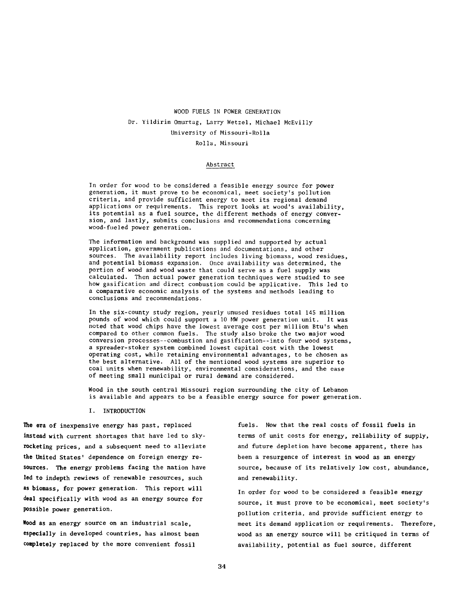# WOOD FUELS IN POWER GENERATION Dr. Yildirim Omurtag, Larry Wetzel, Michael McEvilly University of Missouri-Rolla Rolla, Missouri

#### Abstract

In order for wood to be considered a feasible energy source for power generation, it must prove to be economical, meet society's pollution criteria, and provide sufficient energy to meet its regional demand applications or requirements. This report looks at wood's availability, its potential as a fuel source, the different methods of energy conversion, and lastly, submits conclusions and recommendations concerning wood-fueled power generation.

The information and background was supplied and supported by actual application, government publications and documentations, and other sources. The availability report includes living biomass, wood residues, and potential biomass expansion. Once availability was determined, the portion of wood and wood waste that could serve as a fuel supply was calculated. Then actual power generation techniques were studied to see how gasification and direct combustion could be applicative. This led to a comparative economic analysis of the systems and methods leading to conclusions and recommendations.

In the six-county study region, yearly unused residues total 145 million pounds of wood which could support a 10 MW power generation unit. It was noted that wood chips have the lowest average cost per million Btu's when compared to other common fuels. The study also broke the two major wood conversion processes--combustion and gasification--into four wood systems, a spreader-stoker system combined lowest capital cost with the lowest operating cost, while retaining environmental advantages, to be chosen as the best alternative. All of the mentioned wood systems are superior to coal units when renewability, environmental considerations, and the ease of meeting small municipal or rural demand are considered.

Wood in the south central Missouri region surrounding the city of Lebanon is available and appears to be a feasible energy source for power generation.

I. INTRODUCTION

The era of inexpensive energy has past, replaced instead with current shortages that have led to skyrocketing prices, and a subsequent need to alleviate the United States' dependence on foreign energy resources. The energy problems facing the nation have led to indepth rewiews of renewable resources, such as biomass, for power generation. This report will deal specifically with wood as an energy source for possible power generation.

Wood as an energy source on an industrial scale, especially in developed countries, has almost been completely replaced by the more convenient fossil

fuels. Now that the real costs of fossil fuels in terms of unit costs for energy, reliability of supply, and future depletion have become apparent, there has been a resurgence of interest in wood as an energy source, because of its relatively low cost, abundance, and renewability.

In order for wood to be considered a feasible energy source, it must prove to be economical, meet society's pollution criteria, and provide sufficient energy to meet its demand application or requirements. Therefore, wood as an energy source will be critiqued in terms of availability, potential as fuel source, different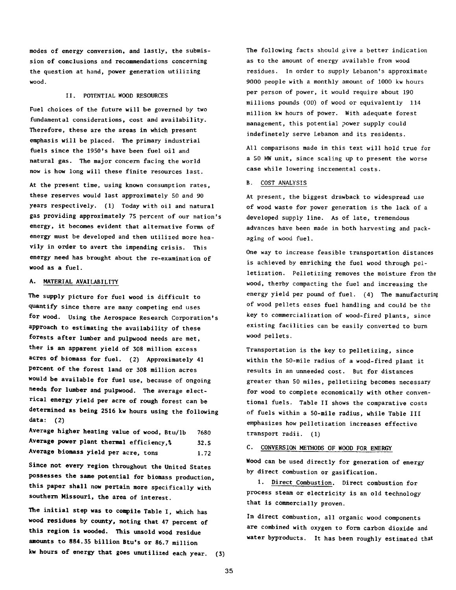modes of energy conversion, and lastly, the submission of conclusions and recommendations concerning the question at hand, power generation utilizing wood.

#### II. POTENTIAL WOOD RESOURCES

Fuel choices of the future will be governed by two fundamental considerations, cost and availability. Therefore, these are the areas in which present emphasis will be placed. The primary industrial fuels since the 1950's have been fuel oil and natural gas. The major concern facing the world now is how long will these finite resources last.

At the present time, using known consumption rates, these reserves would last approximately 50 and 90 years respectively. (1) Today with oil and natural gas providing approximately 75 percent of our nation's energy, it becomes evident that alternative forms of energy must be developed and then utilized more heavily in order to avert the impending crisis. This energy need has brought about the re-examination of wood as a fuel.

# A. MATERIAL AVAILABILITY

The supply picture for fuel wood is difficult to quantify since there are many competing end uses for wood. Using the Aerospace Research Corporation's approach to estimating the availability of these forests after lumber and pulpwood needs are met, ther is an apparent yield of 308 million excess acres of biomass for fuel. (2) Approximately 41 percent of the forest land or 308 million acres would be available for fuel use, because of ongoing needs for lumber and pulpwood. The average electrical energy yield per acre of rough forest can be determined as being 2516 kw hours using the following data: (2)

Average higher heating value of wood, Btu/lb 7680 Average power plant thermal efficiency,% 32.5 Average biomass yield per acre, tons 1.72

Since not every region throughout the United States possesses the same potential for biomass production, this paper shall now pertain more specifically with southern Missouri, the area of interest.

The initial step was to compile Table I, which has wood residues by county, noting that 47 percent of this region is wooded. This unsold wood residue amounts to 884.35 billion Btu's or 86.7 million kw hours of energy that goes unutilized each year. (3) The following facts should give a better indication as to the amount of energy available from wood residues. In order to supply Lebanon's approximate 9000 people with a monthly amount of 1000 kw hours per person of power, it would require about 190 millions pounds (OD) of wood or equivalently 114 million kw hours of power. With adequate forest management, this potential power supply could indefinetely serve Lebanon and its residents.

All comparisons made in this text will hold true for a 50 MW unit, since scaling up to present the worse case while lowering incremental costs.

#### B. COST ANALYSIS

At present, the biggest drawback to widespread use of wood waste for power generation is the lack of a developed supply line. As of late, tremendous advances have been made in both harvesting and packaging of wood fuel.

One way to increase feasible transportation distances is achieved by enriching the fuel wood through pelletization. Pelletizing removes the moisture from the wood, therby compacting the fuel and increasing the energy yield per pound of fuel. (4) The manufacturing of wood pellets eases fuel handling and could be the key to commercialization of wood-fired plants, since existing facilities can be easily converted to burn wood pellets.

Transportation is the key to pelletizing, since within the 50-mile radius of a wood-fired plant it results in an unneeded cost. But for distances greater than 50 miles, pelletizing becomes necessary for wood to complete economically with other conventional fuels. Table II shows the comparative costs of fuels within a 50-mile radius, while Table III emphasizes how pelletization increases effective transport radii. (1)

# C. CONVERSION METHODS OF WOOD FOR ENERGY

Wood can be used directly for generation of energy by direct combustion or gasification.

1. Direct Combustion. Direct combustion for process steam or electricity is an old technology that is commercially proven.

In direct combustion, all organic wood components are combined with oxygen to form carbon dioxide and water byproducts. It has been roughly estimated that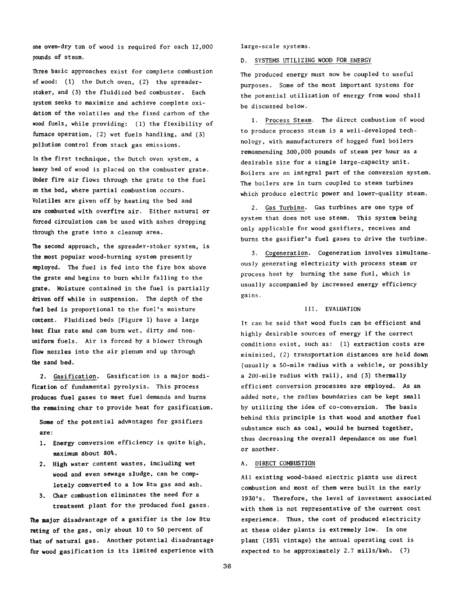one oven-dry ton of wood is required for each 12,000 pounds of steam.

Three basic approaches exist for complete combustion of wood: (1) the Dutch oven, (2) the spreaderstoker, and (3) the fluidized bed combuster. Each system seeks to maximize and achieve complete oxidation of the volatiles and the fixed carbon of the wood fuels, while providing: (1) the flexibility of furnace operation, (2) wet fuels handling, and (3) pollution control from stack gas emissions.

In the first technique, the Dutch oven system, a heavy bed of wood is placed on the combuster grate. Under fire air flows through the grate to the fuel on the bed, where partial combustion occurs. Volatiles are given off by heating the bed and are combusted with overfire air. Either natural or forced circulation can be used with ashes dropping through the grate into a cleanup area.

The second approach, the spreader-stoker system, is the most popular wood-burning system presently employed. The fuel is fed into the fire box above the grate and begins to burn while falling to the grate. Moisture contained in the fuel is partially driven off while in suspension. The depth of the fuel bed is proportional to the fuel's moisture content. Fluidized beds (Figure 1) have a large heat flux rate and can burn wet, dirty and nonuniform fuels. Air is forced by a blower through flow nozzles into the air plenum and up through the sand bed.

2. Gasification. Gasification is a major modification of fundamental pyrolysis. This process produces fuel gases to meet fuel demands and burns the remaining char to provide heat for gasification.

Some of the potential advantages for gasifiers are:

- 1. Energy conversion efficiency is quite high, maximum about 80%.
- 2. High water content wastes, including wet wood and even sewage sludge, can be completely converted to a low Btu gas and ash.
- 3. Char combustion eliminates the need for a treatment plant for the produced fuel gases.

The major disadvantage of a gasifier is the low Btu rating of the gas, only about 10 to 50 percent of that of natural gas. Another potential disadvantage for wood gasification is its limited experience with

large-scale systems.

D. SYSTEMS UTILIZING WOOD FOR ENERGY

The produced energy must now be coupled to useful purposes. Some of the most important systems for the potential utilization of energy from wood shall be discussed below.

1. Process Steam. The direct combustion of wood to produce process steam is a well-developed technology, with manufacturers of hogged fuel boilers remommending 300,000 pounds of steam per hour as a desirable size for a single large-capacity unit. Boilers are an integral part of the conversion system. The boilers are in turn coupled to steam turbines which produce electric power and lower-quality steam.

2. Gas Turbine. Gas turbines are one type of system that does not use steam. This system being only applicable for wood gasifiers, receives and burns the gasifier's fuel gases to drive the turbine.

3. Cogeneration. Cogeneration involves simultaneously generating electricity with process steam or process heat by burning the same fuel, which is usually accompanied by increased energy efficiency gains.

#### III. EVALUATION

It can be said that wood fuels can be efficient and highly desirable sources of energy if the correct conditions exist, such as: (1) extraction costs are minimized, (2) transportation distances are held down (usually a 50-mile radius with a vehicle, or possibly a 200-mile radius with rail), and (3) thermally efficient conversion processes are employed. As an added note, the radius boundaries can be kept small by utilizing the idea of co-conversion. The basis behind this principle is that wood and another fuel substance such as coal, would be burned together, thus decreasing the overall dependance on one fuel or another.

### A. DIRECT COMBUSTION

All existing wood-based electric plants use direct combustion and most of them were built in the early 1930's. Therefore, the level of investment associated with them is not representative of the current cost experience. Thus, the cost of produced electricity at these older plants is extremely low. In one plant (1931 vintage) the annual operating cost is expected to be approximately 2.7 mills/kwh. (7)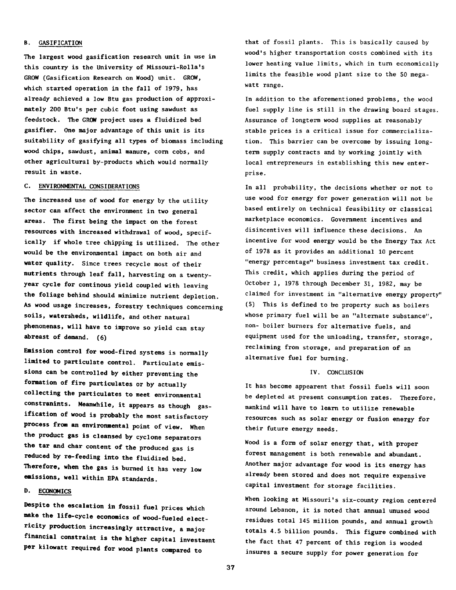### **B. GASIFICATION**

**The largest wood gasification research unit in use in this country is the University of Missouri-Rolla's GROW (Gasification Research on Wood) unit. GROW, which started operation in the fall of 1979, has already achieved a low Btu gas production of approximately 200 Btu's per cubic foot using sawdust as feedstock. The GROW project uses a fluidized bed gasifier. One major advantage of this unit is its suitability of gasifying all types of biomass including** wood chips, sawdust, animal manure, corn cobs, and **other agricultural by-products which would normally result in waste.**

# **C. ENVIRONMENTAL CONSIDERATIONS**

**The increased use of wood for energy by the utility sector can affect the environment in two general areas. The first being the impact on the forest resources with increased withdrawal of wood, specifically if whole tree chipping is utilized. The other would be the environmental impact on both air and water quality. Since trees recycle most of their nutrients through leaf fall, harvesting on a twentyyear cycle for continous yield coupled with leaving the foliage behind should minimize nutrient depletion. As wood usage increases, forestry techniques concerning soils, watersheds, wildlife, and other natural phenonenas, will have to improve so yield can stay abreast of demand. (6)**

**Emission control for wood-fired systems is normally limited to particulate control. Particulate emissions can be controlled by either preventing the formation of fire particulates or by actually collecting the particulates to meet environmental constranints. Meanwhile, it appears as though gasification of wood is probably the most satisfactory process from an environmental point of view. When the product gas is cleansed by cyclone separators the tar and char content of the produced gas is reduced by re-feeding into the fluidized bed. Therefore, when the gas is** burned **it** has very low **emissions, well within EPA standards.**

## **D. ECONOMICS**

**Despite the escalation in fossil fuel prices which make the life-cycle economics of wood-fueled electricity production increasingly attractive, a major financial constraint is the higher capital investment per kilowatt required for wood plants compared to**

that of fossil plants. This is basically caused by wood's higher transportation costs combined with its lower heating value limits, which in turn economically limits the feasible wood plant size to the 50 megawatt range.

In addition to the aforementioned problems, the wood fuel supply line is still in the drawing board stages. Assurance of longterm wood supplies at reasonably stable prices is a critical issue for commercialization. This barrier can be overcome by issuing longterm supply contracts and by working jointly with local entrepreneurs in establishing this new enterprise.

In all probability, the decisions whether or not to use wood for energy for power generation will not be based entirely on technical feasibility or classical marketplace economics. Government incentives and disincentives will influence these decisions. An incentive for wood energy would be the Energy Tax Act of 1978 as it provides an additional 10 percent "energy percentage" business investment tax credit. This credit, which applies during the period of October 1, 1978 through December 31, 1982, may be claimed for investment in "alternative energy property" (5) This is defined to be property such as boilers whose primary fuel will be an "alternate substance", non- boiler burners for alternative fuels, and equipment used for the unloading, transfer, storage, reclaiming from storage, and preparation of an alternative fuel for burning.

### IV. CONCLUSION

It has become appearent that fossil fuels will soon be depleted at present consumption rates. Therefore, mankind will have to learn to utilize renewable resources such as solar energy or fusion energy for their future energy needs.

Wood is a form of solar energy that, with proper forest management is both renewable and abundant. Another major advantage for wood is its energy has already been stored and does not require expensive capital investment for storage facilities.

When looking at Missouri's six-county region centered around Lebanon, it is noted that annual unused wood residues total 145 million pounds, and annual growth totals 4.5 billion pounds. This figure combined with the fact that 47 percent of this region is wooded insures a secure supply for power generation for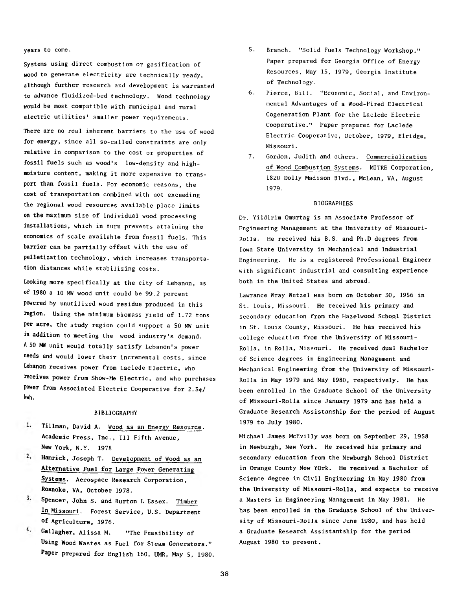years to come.

Systems using direct combustion or gasification of wood to generate electricity are technically ready, although further research and development is warranted to advance fluidized-bed technology. Wood technology would be most compatible with municipal and rural electric utilities' smaller power requirements.

There are no real inherent barriers to the use of wood for energy, since all so-called constraints are only relative in comparison to the cost or properties of fossil fuels such as wood's low-density and highmoisture content, making it more expensive to transport than fossil fuels. For economic reasons, the cost of transportation combined with not exceeding the regional wood resources available place limits on the maximum size of individual wood processing installations, which in turn prevents attaining the economics of scale available from fossil fuels. This barrier can be partially offset with the use of pelletization technology, which increases transportation distances while stabilizing costs.

Looking more specifically at the city of Lebanon, as of 1980 a 10 MW wood unit could be 99.2 percent powered by unutilized wood residue produced in this region. Using the minimum biomass yield of 1.72 tons per acre, the study region could support a 50 MW unit in addition to meeting the wood industry's demand. A 50 MW unit would totally satisfy Lebanon's power needs and would lower their incremental costs, since Lebanon receives power from Laclede Electric, who receives power from Show-Me Electric, and who purchases power from Associated Electric Cooperative for  $2.5$ kwh.

#### BIBLIOGRAPHY

- 1. Tillman, David A. Wood as an Energy Resource. Academic Press, Inc., Ill Fifth Avenue, New York, N.Y. 1978
- 2. **Hamrick,** Joseph T. Development of Wood as an **Alternative** Fuel for Large Power Generating **Systems**. Aerospace Research Corporation, **Roanoke,** VA, October 1978.
- $3.$ Spencer, John S. and Burton L Essex. Timber In Missouri. Forest Service, U.S. Department of Agriculture, 1976.
- $4.$ Gallagher, Alissa M. "The Feasibility of Using Wood Wastes as Fuel for Steam Generators." Paper prepared for English 160, UMR, May 5, 1980.
- 5. Branch. "Solid Fuels Technology Workshop." Paper prepared for Georgia Office of Energy Resources, May 15, 1979, Georgia Institute of Technology.
- 6. Pierce, Bill. "Economic, Social, and Environmental Advantages of a Wood-Fired Electrical Cogeneration Plant for the Laclede Electric Cooperative." Paper prepared for Laclede Electric Cooperative, October, 1979, Elridge, Missouri.
- 7. Gordon, Judith and others. Commercialization of Wood Combustion Systems. MITRE Corporation, 1820 Dolly Madison Blvd., McLean, VA, August 1979.

### BIOGRAPHIES

Dr. Yildirim Omurtag is an Associate Professor of Engineering Management at the University of Missouri-Rolla. He received his B.S. and Ph.D degrees from Iowa State University in Mechanical and Industrial Engineering. He is a registered Professional Engineer with significant industrial and consulting experience both in the United States and abroad.

Lawrance Wray Wetzel was born on October 30, 1956 in St. Louis, Missouri. He received his primary and secondary education from the Hazelwood School District in St. Louis County, Missouri. He has received his college education from the University of Missouri-Rolla, in Rolla, Missouri. He received dual Bachelor of Science degrees in Engineering Management and Mechanical Engineering from the University of Missouri-Rolla in May 1979 and May 1980, respectively. He has been enrolled in the Graduate School of the University of Missouri-Rolla since January 1979 and has held a Graduate Research Assistanship for the period of August 1979 to July 1980.

Michael James McEvilly was born on September 29, 1958 in Newburgh, New York. He received his primary and secondary education from the Newburgh School District in Orange County New YOrk. He received a Bachelor of Science degree in Civil Engineering in May 1980 from the University of Missouri-Rolla, and expects to receive a Masters in Engineering Management in May 1981. He has been enrolled in the Graduate School of the University of Missouri-Rolla since June 1980, and has held a Graduate Research Assistantship for the period August 1980 to present.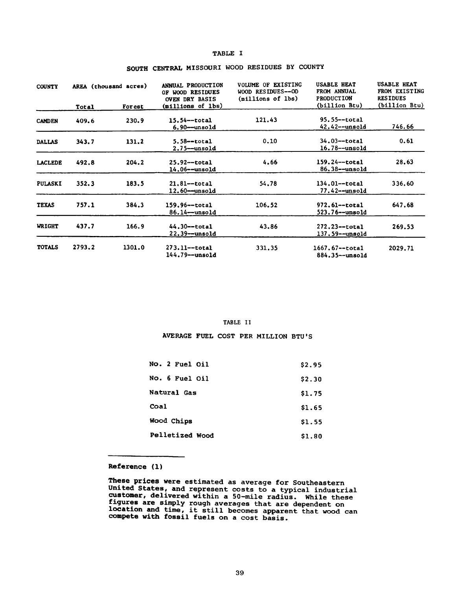# **TABLE I**

# **SOUTH CENTRAL MISSOURI WOOD RESIDUES BY COUNTY**

| <b>COUNTY</b>  | AREA (thousand acres) |               | ANNUAL PRODUCTION<br>WOOD RESIDUES<br>OF.<br><b>OVEN DRY BASIS</b> | VOLUME OF EXISTING<br>WOOD RESIDUES--OD<br>(millions of lbs) | <b>USABLE HEAT</b><br>FROM ANNUAL<br><b>PRODUCTION</b> | USABLE HEAT<br>FROM EXISTING<br><b>RESIDUES</b> |
|----------------|-----------------------|---------------|--------------------------------------------------------------------|--------------------------------------------------------------|--------------------------------------------------------|-------------------------------------------------|
|                | <b>Total</b>          | <b>Forest</b> | (millions of lbs)                                                  |                                                              | (billion Btu)                                          | (billion Btu)                                   |
| <b>CAMDEN</b>  | 409.6                 | 230.9         | $15.54 - total$<br>$6.90$ — $unsold$                               | 121.43                                                       | $95.55--total$<br>42.42 -- unsold                      | 746.66                                          |
| <b>DALLAS</b>  | 343.7                 | 131.2         | $5.58 - total$<br>$2.75$ --unsold                                  | 0.10                                                         | $34.03 -$ total<br>16.78--unsold                       | 0.61                                            |
| <b>LACLEDE</b> | 492.8                 | 204.2         | $25.92 - total$<br>$14.06$ --unsold                                | 4.66                                                         | $159.24 - total$<br>86,38--unsold                      | 28.63                                           |
| <b>PULASKI</b> | 352.3                 | 183.5         | $21.81 - total$<br>$12.60$ --unsold                                | 54.78                                                        | $134.01 -$ total<br>77.42--unsold                      | 336.60                                          |
| <b>TEXAS</b>   | 757.1                 | 384.3         | $159.96 - total$<br>$86.14$ —unsold                                | 106.52                                                       | $972.61 - total$<br>523.76--unsold                     | 647.68                                          |
| <b>WRIGHT</b>  | 437.7                 | 166.9         | $44.30 - total$<br>$22.39$ --unsold                                | 43.86                                                        | $272.23 - total$<br>137.59--unsold                     | 269.53                                          |
| <b>TOTALS</b>  | 2793.2                | 1301.0        | $273.11 -$ total<br>144.79--unsold                                 | 331.35                                                       | $1667.67 - \text{total}$<br>884.35 -- unsold           | 2029.71                                         |

# TABLE II

**AVERAGE FUEL COST PER MILLION BTU'S**

| <b>No. 2 Fuel Oil</b> | \$2.95 |
|-----------------------|--------|
| <b>No. 6 Fuel Oil</b> | \$2.30 |
| <b>Natural Gas</b>    | \$1.75 |
| Coal                  | \$1.65 |
| Wood Chips            | \$1.55 |
| Pelletized Wood       | \$1.80 |

**Reference (1)**

**These prices were estimated as average for Southeastern United States, and represent costs to a typical industrial customer, delivered within a 50-mile radius. While these figures are simply rough averages that are dependent on location and time, it still becomes apparent that wood can compete with fossil fuels on a cost basis.**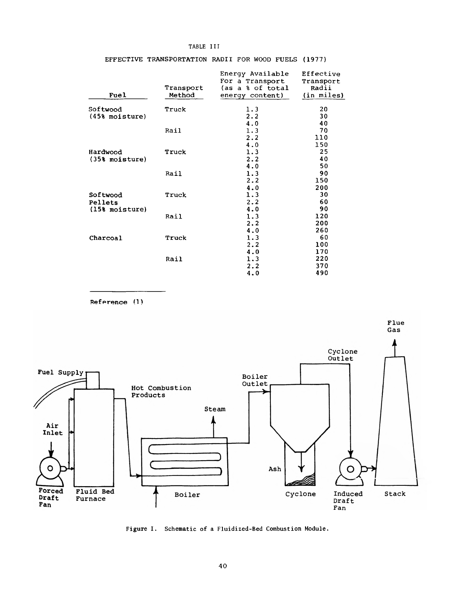# **TABLE III**

| Fuel                     | Transport<br>Method | Energy Available<br>For a Transport<br>(as a % of total<br>energy content) | Effective<br>Transport<br>Radii<br>(in miles) |
|--------------------------|---------------------|----------------------------------------------------------------------------|-----------------------------------------------|
| Softwood                 | Truck               | 1.3                                                                        | 20                                            |
| (45% moisture)           |                     | 2.2                                                                        | 30                                            |
|                          |                     | 4.0                                                                        | 40                                            |
|                          | Rail                | 1.3                                                                        | 70                                            |
|                          |                     | 2.2                                                                        | 110                                           |
|                          |                     | 4.0                                                                        | 150                                           |
| Hardwood                 | Truck               | 1.3                                                                        | 25                                            |
| $(358 \text{ moisture})$ |                     | 2.2                                                                        | 40                                            |
|                          |                     | 4.0                                                                        | 50                                            |
|                          | Rail                | 1.3                                                                        | 90                                            |
|                          |                     | 2.2                                                                        | 150                                           |
|                          |                     | 4.0                                                                        | 200                                           |
| Softwood                 | Truck               | 1.3                                                                        | 30                                            |
| Pellets                  |                     | 2.2                                                                        | 60                                            |
| (15% moisture)           |                     | 4.0                                                                        | 90                                            |
|                          | Rail                | 1.3                                                                        | 120                                           |
|                          |                     | 2.2                                                                        | 200                                           |
|                          |                     | 4.0                                                                        | 260                                           |
| Charcoal                 | Truck               | 1.3                                                                        | 60                                            |
|                          |                     | 2.2                                                                        | 100                                           |
|                          |                     | 4.0                                                                        | 170                                           |
|                          | Rail                | 1.3                                                                        | 220                                           |
|                          |                     | 2.2                                                                        | 370                                           |
|                          |                     | 4.0                                                                        | 490                                           |

#### **EFFECTIVE TRANSPORTATION RADII FOR WOOD FUELS (1977)**

**Reference (1.)**



Figure I. Schematic of a Fluidized-Bed Combustion Module.